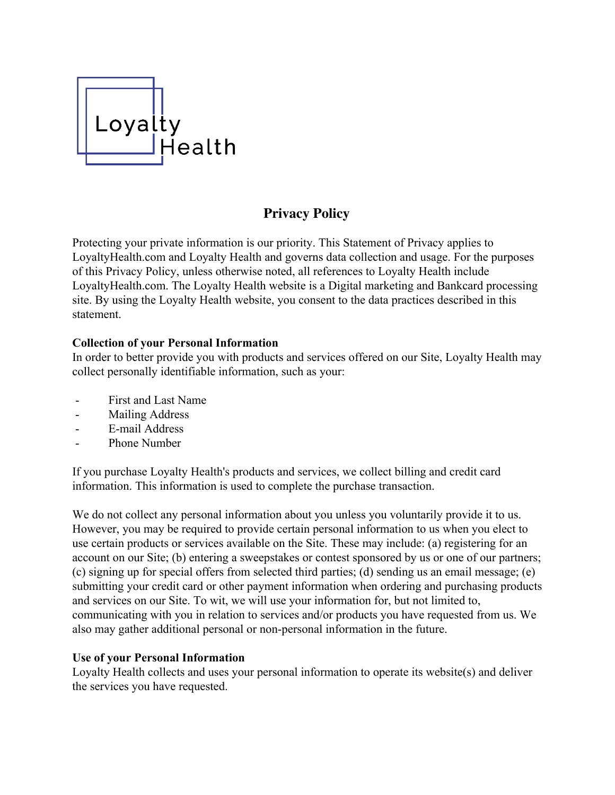

# **Privacy Policy**

Protecting your private information is our priority. This Statement of Privacy applies to LoyaltyHealth.com and Loyalty Health and governs data collection and usage. For the purposes of this Privacy Policy, unless otherwise noted, all references to Loyalty Health include LoyaltyHealth.com. The Loyalty Health website is a Digital marketing and Bankcard processing site. By using the Loyalty Health website, you consent to the data practices described in this statement.

# **Collection of your Personal Information**

In order to better provide you with products and services offered on our Site, Loyalty Health may collect personally identifiable information, such as your:

- First and Last Name
- Mailing Address
- E-mail Address
- Phone Number

If you purchase Loyalty Health's products and services, we collect billing and credit card information. This information is used to complete the purchase transaction.

We do not collect any personal information about you unless you voluntarily provide it to us. However, you may be required to provide certain personal information to us when you elect to use certain products or services available on the Site. These may include: (a) registering for an account on our Site; (b) entering a sweepstakes or contest sponsored by us or one of our partners; (c) signing up for special offers from selected third parties; (d) sending us an email message; (e) submitting your credit card or other payment information when ordering and purchasing products and services on our Site. To wit, we will use your information for, but not limited to, communicating with you in relation to services and/or products you have requested from us. We also may gather additional personal or non-personal information in the future.

## **Use of your Personal Information**

Loyalty Health collects and uses your personal information to operate its website(s) and deliver the services you have requested.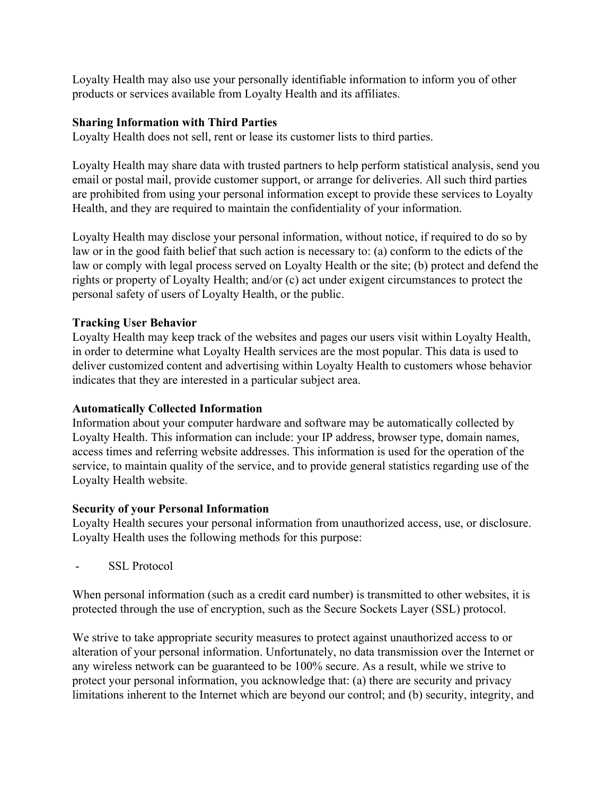Loyalty Health may also use your personally identifiable information to inform you of other products or services available from Loyalty Health and its affiliates.

# **Sharing Information with Third Parties**

Loyalty Health does not sell, rent or lease its customer lists to third parties.

Loyalty Health may share data with trusted partners to help perform statistical analysis, send you email or postal mail, provide customer support, or arrange for deliveries. All such third parties are prohibited from using your personal information except to provide these services to Loyalty Health, and they are required to maintain the confidentiality of your information.

Loyalty Health may disclose your personal information, without notice, if required to do so by law or in the good faith belief that such action is necessary to: (a) conform to the edicts of the law or comply with legal process served on Loyalty Health or the site; (b) protect and defend the rights or property of Loyalty Health; and/or (c) act under exigent circumstances to protect the personal safety of users of Loyalty Health, or the public.

## **Tracking User Behavior**

Loyalty Health may keep track of the websites and pages our users visit within Loyalty Health, in order to determine what Loyalty Health services are the most popular. This data is used to deliver customized content and advertising within Loyalty Health to customers whose behavior indicates that they are interested in a particular subject area.

## **Automatically Collected Information**

Information about your computer hardware and software may be automatically collected by Loyalty Health. This information can include: your IP address, browser type, domain names, access times and referring website addresses. This information is used for the operation of the service, to maintain quality of the service, and to provide general statistics regarding use of the Loyalty Health website.

## **Security of your Personal Information**

Loyalty Health secures your personal information from unauthorized access, use, or disclosure. Loyalty Health uses the following methods for this purpose:

- SSL Protocol

When personal information (such as a credit card number) is transmitted to other websites, it is protected through the use of encryption, such as the Secure Sockets Layer (SSL) protocol.

We strive to take appropriate security measures to protect against unauthorized access to or alteration of your personal information. Unfortunately, no data transmission over the Internet or any wireless network can be guaranteed to be 100% secure. As a result, while we strive to protect your personal information, you acknowledge that: (a) there are security and privacy limitations inherent to the Internet which are beyond our control; and (b) security, integrity, and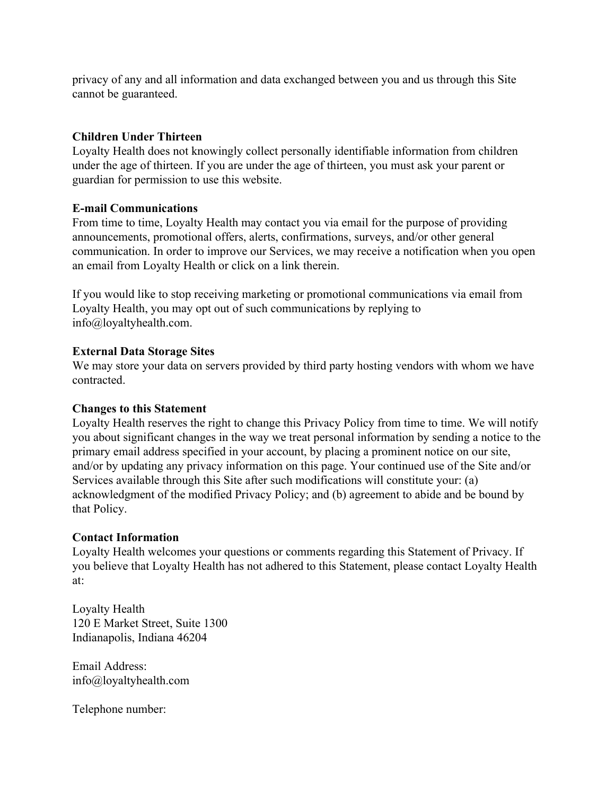privacy of any and all information and data exchanged between you and us through this Site cannot be guaranteed.

#### **Children Under Thirteen**

Loyalty Health does not knowingly collect personally identifiable information from children under the age of thirteen. If you are under the age of thirteen, you must ask your parent or guardian for permission to use this website.

#### **E-mail Communications**

From time to time, Loyalty Health may contact you via email for the purpose of providing announcements, promotional offers, alerts, confirmations, surveys, and/or other general communication. In order to improve our Services, we may receive a notification when you open an email from Loyalty Health or click on a link therein.

If you would like to stop receiving marketing or promotional communications via email from Loyalty Health, you may opt out of such communications by replying to info@loyaltyhealth.com.

#### **External Data Storage Sites**

We may store your data on servers provided by third party hosting vendors with whom we have contracted.

#### **Changes to this Statement**

Loyalty Health reserves the right to change this Privacy Policy from time to time. We will notify you about significant changes in the way we treat personal information by sending a notice to the primary email address specified in your account, by placing a prominent notice on our site, and/or by updating any privacy information on this page. Your continued use of the Site and/or Services available through this Site after such modifications will constitute your: (a) acknowledgment of the modified Privacy Policy; and (b) agreement to abide and be bound by that Policy.

#### **Contact Information**

Loyalty Health welcomes your questions or comments regarding this Statement of Privacy. If you believe that Loyalty Health has not adhered to this Statement, please contact Loyalty Health at:

Loyalty Health 120 E Market Street, Suite 1300 Indianapolis, Indiana 46204

Email Address: info@loyaltyhealth.com

Telephone number: